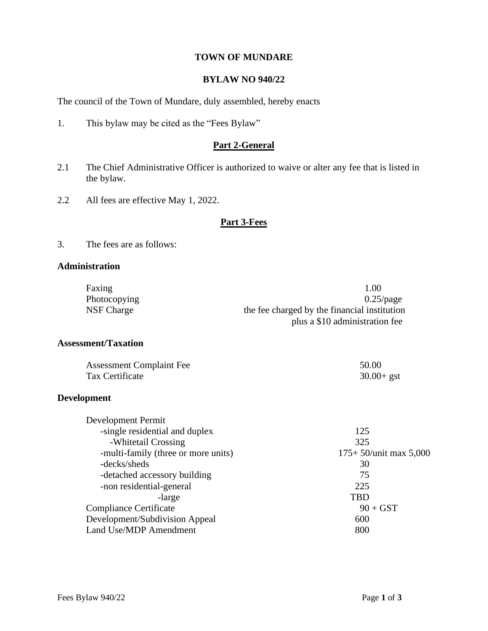#### **TOWN OF MUNDARE**

### **BYLAW NO 940/22**

The council of the Town of Mundare, duly assembled, hereby enacts

1. This bylaw may be cited as the "Fees Bylaw"

### **Part 2-General**

- 2.1 The Chief Administrative Officer is authorized to waive or alter any fee that is listed in the bylaw.
- 2.2 All fees are effective May 1, 2022.

#### **Part 3-Fees**

3. The fees are as follows:

#### **Administration**

| Faxing       | 1.00                                         |
|--------------|----------------------------------------------|
| Photocopying | $0.25$ /page                                 |
| NSF Charge   | the fee charged by the financial institution |
|              | plus a \$10 administration fee               |

## **Assessment/Taxation**

| <b>Assessment Complaint Fee</b> | 50.00         |
|---------------------------------|---------------|
| Tax Certificate                 | $30.00 + gst$ |

#### **Development**

| 125                      |
|--------------------------|
| 325                      |
| $175+50$ /unit max 5,000 |
| 30                       |
| 75                       |
| 225                      |
| TBD                      |
| $90 + GST$               |
| 600                      |
| 800                      |
|                          |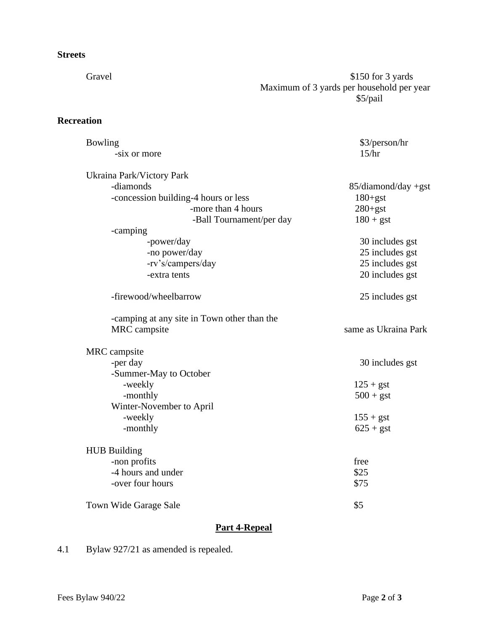## **Streets**

Gravel \$150 for 3 yards Maximum of 3 yards per household per year \$5/pail

## **Recreation**

| Bowling                                     | \$3/person/hr        |  |
|---------------------------------------------|----------------------|--|
| -six or more                                | 15/hr                |  |
|                                             |                      |  |
| Ukraina Park/Victory Park                   |                      |  |
| -diamonds                                   | 85/diamond/day +gst  |  |
| -concession building-4 hours or less        | $180 + gst$          |  |
| -more than 4 hours                          | $280 + gst$          |  |
| -Ball Tournament/per day                    | $180 + gst$          |  |
| -camping                                    |                      |  |
| -power/day                                  | 30 includes gst      |  |
| -no power/day                               | 25 includes gst      |  |
| -rv's/campers/day                           | 25 includes gst      |  |
| -extra tents                                | 20 includes gst      |  |
| -firewood/wheelbarrow                       | 25 includes gst      |  |
| -camping at any site in Town other than the |                      |  |
| MRC campsite                                | same as Ukraina Park |  |
| MRC campsite                                |                      |  |
| -per day                                    | 30 includes gst      |  |
| -Summer-May to October                      |                      |  |
| -weekly                                     | $125 + gst$          |  |
| -monthly                                    | $500 + gst$          |  |
| Winter-November to April                    |                      |  |
| -weekly                                     | $155 + gst$          |  |
| -monthly                                    | $625 + gst$          |  |
|                                             |                      |  |
| <b>HUB Building</b>                         |                      |  |
| -non profits                                | free                 |  |
| -4 hours and under                          | \$25                 |  |
| -over four hours                            | \$75                 |  |
| Town Wide Garage Sale                       | \$5                  |  |

# **Part 4-Repeal**

4.1 Bylaw 927/21 as amended is repealed.